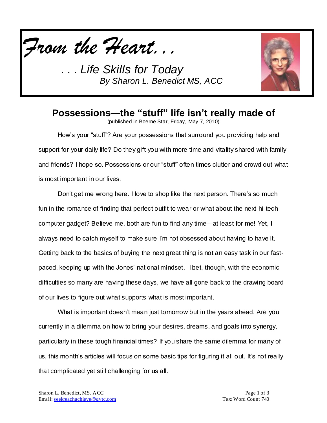



# **Possessions—the "stuff" life isn't really made of**

(published in Boerne Star, Friday, May 7, 2010)

How's your "stuff"? Are your possessions that surround you providing help and support for your daily life? Do they gift you with more time and vitality shared with family and friends? I hope so. Possessions or our "stuff" often times clutter and crowd out what is most important in our lives.

Don't get me wrong here. I love to shop like the next person. There's so much fun in the romance of finding that perfect outfit to wear or what about the next hi-tech computer gadget? Believe me, both are fun to find any time—at least for me! Yet, I always need to catch myself to make sure I'm not obsessed about having to have it. Getting back to the basics of buying the next great thing is not an easy task in our fastpaced, keeping up with the Jones' national mindset. I bet, though, with the economic difficulties so many are having these days, we have all gone back to the drawing board of our lives to figure out what supports what is most important.

What is important doesn't mean just tomorrow but in the years ahead. Are you currently in a dilemma on how to bring your desires, dreams, and goals into synergy, particularly in these tough financial times? If you share the same dilemma for many of us, this month's articles will focus on some basic tips for figuring it all out. It's not really that complicated yet still challenging for us all.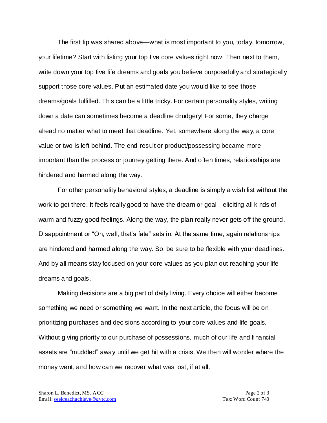The first tip was shared above—what is most important to you, today, tomorrow, your lifetime? Start with listing your top five core values right now. Then next to them, write down your top five life dreams and goals you believe purposefully and strategically support those core values. Put an estimated date you would like to see those dreams/goals fulfilled. This can be a little tricky. For certain personality styles, writing down a date can sometimes become a deadline drudgery! For some, they charge ahead no matter what to meet that deadline. Yet, somewhere along the way, a core value or two is left behind. The end-result or product/possessing became more important than the process or journey getting there. And often times, relationships are hindered and harmed along the way.

For other personality behavioral styles, a deadline is simply a wish list without the work to get there. It feels really good to have the dream or goal—eliciting all kinds of warm and fuzzy good feelings. Along the way, the plan really never gets off the ground. Disappointment or "Oh, well, that's fate" sets in. At the same time, again relationships are hindered and harmed along the way. So, be sure to be flexible with your deadlines. And by all means stay focused on your core values as you plan out reaching your life dreams and goals.

Making decisions are a big part of daily living. Every choice will either become something we need or something we want. In the next article, the focus will be on prioritizing purchases and decisions according to your core values and life goals. Without giving priority to our purchase of possessions, much of our life and financial assets are "muddled" away until we get hit with a crisis. We then will wonder where the money went, and how can we recover what was lost, if at all.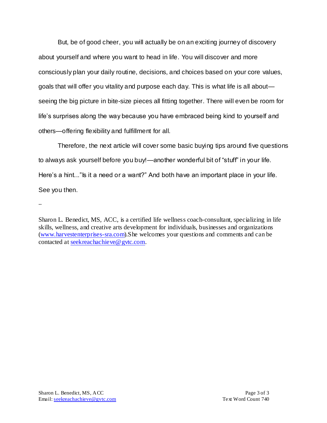But, be of good cheer, you will actually be on an exciting journey of discovery about yourself and where you want to head in life. You will discover and more consciously plan your daily routine, decisions, and choices based on your core values, goals that will offer you vitality and purpose each day. This is what life is all about seeing the big picture in bite-size pieces all fitting together. There will even be room for life's surprises along the way because you have embraced being kind to yourself and others—offering flexibility and fulfillment for all.

Therefore, the next article will cover some basic buying tips around five questions to always ask yourself before you buy!—another wonderful bit of "stuff" in your life. Here's a hint..." Is it a need or a want?" And both have an important place in your life. See you then.

--

Sharon L. Benedict, MS, ACC, is a certified life wellness coach-consultant, specializing in life skills, wellness, and creative arts development for individuals, businesses and organizations [\(www.harvestenterprises-sra.com\)](http://www.harvestenterprises-sra.com/).She welcomes your questions and comments and can be contacted at [seekreachachieve@gvtc.com.](mailto:seekreachachieve@gvtc.com)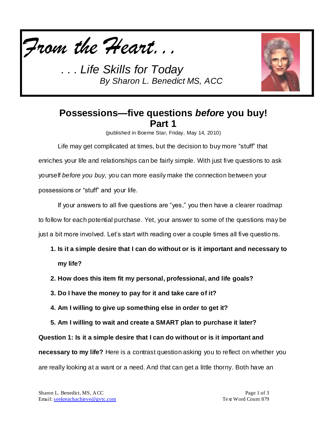



## **Possessions—five questions** *before* **you buy! Part 1**

(published in Boerne Star, Friday, May 14, 2010)

Life may get complicated at times, but the decision to buy more "stuff" that enriches your life and relationships can be fairly simple. With just five questions to ask yourself *before you buy,* you can more easily make the connection between your possessions or "stuff" and your life.

If your answers to all five questions are "yes," you then have a clearer roadmap to follow for each potential purchase. Yet, your answer to some of the questions may be just a bit more involved. Let's start with reading over a couple times all five questio ns.

- **1. Is it a simple desire that I can do without or is it important and necessary to my life?**
- **2. How does this item fit my personal, professional, and life goals?**
- **3. Do I have the money to pay for it and take care of it?**
- **4. Am I willing to give up something else in order to get it?**
- **5. Am I willing to wait and create a SMART plan to purchase it later?**

**Question 1: Is it a simple desire that I can do without or is it important and** 

**necessary to my life?** Here is a contrast question asking you to reflect on whether you are really looking at a want or a need. And that can get a little thorny. Both have an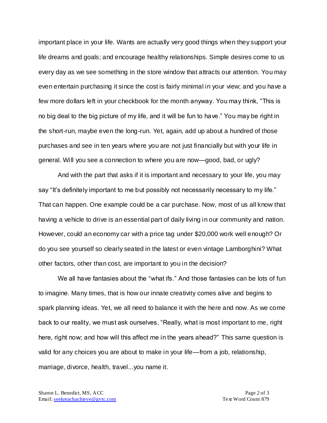important place in your life. Wants are actually very good things when they support your life dreams and goals; and encourage healthy relationships. Simple desires come to us every day as we see something in the store window that attracts our attention. You may even entertain purchasing it since the cost is fairly minimal in your view; and you have a few more dollars left in your checkbook for the month anyway. You may think, "This is no big deal to the big picture of my life, and it will be fun to have." You may be right in the short-run, maybe even the long-run. Yet, again, add up about a hundred of those purchases and see in ten years where you are not just financially but with your life in general. Will you see a connection to where you are now—good, bad, or ugly?

And with the part that asks if it is important and necessary to your life, you may say "It's definitely important to me but possibly not necessarily necessary to my life." That can happen. One example could be a car purchase. Now, most of us all know that having a vehicle to drive is an essential part of daily living in our community and nation. However, could an economy car with a price tag under \$20,000 work well enough? Or do you see yourself so clearly seated in the latest or even vintage Lamborghini? What other factors, other than cost, are important to you in the decision?

We all have fantasies about the "what ifs." And those fantasies can be lots of fun to imagine. Many times, that is how our innate creativity comes alive and begins to spark planning ideas. Yet, we all need to balance it with the here and now. As we come back to our reality, we must ask ourselves, "Really, what is most important to me, right here, right now; and how will this affect me in the years ahead?" This same question is valid for any choices you are about to make in your life—from a job, relationship, marriage, divorce, health, travel...you name it.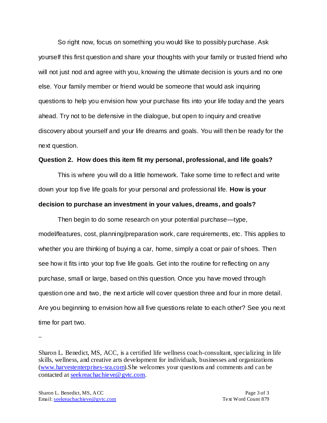So right now, focus on something you would like to possibly purchase. Ask yourself this first question and share your thoughts with your family or trusted friend who will not just nod and agree with you, knowing the ultimate decision is yours and no one else. Your family member or friend would be someone that would ask inquiring questions to help you envision how your purchase fits into your life today and the years ahead. Try not to be defensive in the dialogue, but open to inquiry and creative discovery about yourself and your life dreams and goals. You will then be ready for the next question.

#### **Question 2. How does this item fit my personal, professional, and life goals?**

This is where you will do a little homework. Take some time to reflect and write down your top five life goals for your personal and professional life. **How is your decision to purchase an investment in your values, dreams, and goals?**

Then begin to do some research on your potential purchase—type, model/features, cost, planning/preparation work, care requirements, etc. This applies to whether you are thinking of buying a car, home, simply a coat or pair of shoes. Then see how it fits into your top five life goals. Get into the routine for reflecting on any purchase, small or large, based on this question. Once you have moved through question one and two, the next article will cover question three and four in more detail. Are you beginning to envision how all five questions relate to each other? See you next time for part two.

--

Sharon L. Benedict, MS, ACC, is a certified life wellness coach-consultant, specializing in life skills, wellness, and creative arts development for individuals, businesses and organizations [\(www.harvestenterprises-sra.com\)](http://www.harvestenterprises-sra.com/).She welcomes your questions and comments and can be contacted at [seekreachachieve@gvtc.com.](mailto:seekreachachieve@gvtc.com)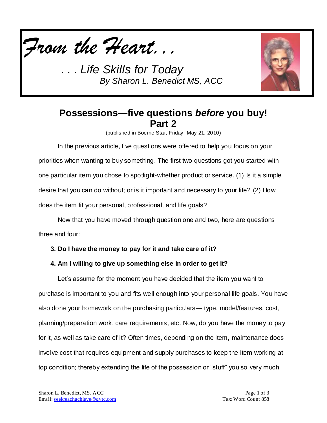



## **Possessions—five questions** *before* **you buy! Part 2**

(published in Boerne Star, Friday, May 21, 2010)

In the previous article, five questions were offered to help you focus on your priorities when wanting to buy something. The first two questions got you started with one particular item you chose to spotlight-whether product or service. (1) Is it a simple desire that you can do without; or is it important and necessary to your life? (2) How does the item fit your personal, professional, and life goals?

Now that you have moved through question one and two, here are questions three and four:

- **3. Do I have the money to pay for it and take care of it?**
- **4. Am I willing to give up something else in order to get it?**

Let's assume for the moment you have decided that the item you want to purchase is important to you and fits well enough into your personal life goals. You have also done your homework on the purchasing particulars— type, model/features, cost, planning/preparation work, care requirements, etc. Now, do you have the money to pay for it, as well as take care of it? Often times, depending on the item, maintenance does involve cost that requires equipment and supply purchases to keep the item working at top condition; thereby extending the life of the possession or "stuff" you so very much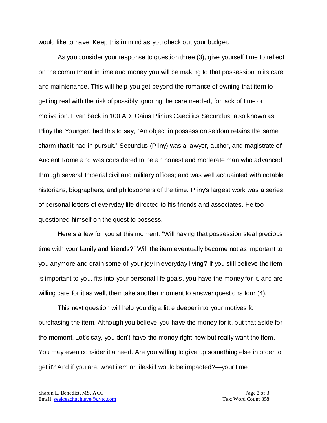would like to have. Keep this in mind as you check out your budget.

As you consider your response to question three (3), give yourself time to reflect on the commitment in time and money you will be making to that possession in its care and maintenance. This will help you get beyond the romance of owning that item to getting real with the risk of possibly ignoring the care needed, for lack of time or motivation. Even back in 100 AD, Gaius Plinius Caecilius Secundus, also known as Pliny the Younger, had this to say, "An object in possession seldom retains the same charm that it had in pursuit." Secundus (Pliny) was a lawyer, author, and magistrate of Ancient Rome and was considered to be an honest and moderate man who advanced through several Imperial civil and military offices; and was well acquainted with notable historians, biographers, and philosophers of the time. Pliny's largest work was a series of personal letters of everyday life directed to his friends and associates. He too questioned himself on the quest to possess.

Here's a few for you at this moment. "Will having that possession steal precious time with your family and friends?" Will the item eventually become not as important to you anymore and drain some of your joy in everyday living? If you still believe the item is important to you, fits into your personal life goals, you have the money for it, and are willing care for it as well, then take another moment to answer questions four (4).

This next question will help you dig a little deeper into your motives for purchasing the item. Although you believe you have the money for it, put that aside for the moment. Let's say, you don't have the money right now but really want the item. You may even consider it a need. Are you willing to give up something else in order to get it? And if you are, what item or lifeskill would be impacted?—your time,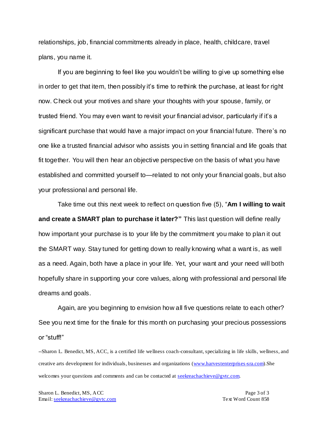relationships, job, financial commitments already in place, health, childcare, travel plans, you name it.

If you are beginning to feel like you wouldn't be willing to give up something else in order to get that item, then possibly it's time to rethink the purchase, at least for right now. Check out your motives and share your thoughts with your spouse, family, or trusted friend. You may even want to revisit your financial advisor, particularly if it's a significant purchase that would have a major impact on your financial future. There's no one like a trusted financial advisor who assists you in setting financial and life goals that fit together. You will then hear an objective perspective on the basis of what you have established and committed yourself to—related to not only your financial goals, but also your professional and personal life.

Take time out this next week to reflect on question five (5), "**Am I willing to wait and create a SMART plan to purchase it later?"** This last question will define really how important your purchase is to your life by the commitment you make to plan it out the SMART way. Stay tuned for getting down to really knowing what a want is, as well as a need. Again, both have a place in your life. Yet, your want and your need will both hopefully share in supporting your core values, along with professional and personal life dreams and goals.

Again, are you beginning to envision how all five questions relate to each other? See you next time for the finale for this month on purchasing your precious possessions or "stuff!"

--Sharon L. Benedict, MS, ACC, is a certified life wellness coach-consultant, specializing in life skills, wellness, and creative arts development for individuals, businesses and organizations [\(www.harvestenterprises-sra.com\)](http://www.harvestenterprises-sra.com/).She welcomes your questions and comments and can be contacted at **seekreachachieve@gvtc.com**.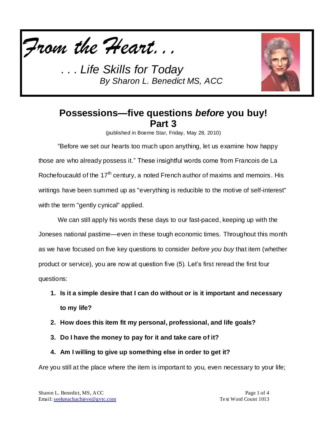



## **Possessions—five questions** *before* **you buy! Part 3**

(published in Boerne Star, Friday, May 28, 2010)

"Before we set our hearts too much upon anything, let us examine how happy those are who already possess it." These insightful words come from Francois de La Rochefoucauld of the  $17<sup>th</sup>$  century, a noted French author of maxims and memoirs. His writings have been summed up as "everything is reducible to the motive of self-interest" with the term "gently cynical" applied.

We can still apply his words these days to our fast-paced, keeping up with the Joneses national pastime—even in these tough economic times. Throughout this month as we have focused on five key questions to consider *before you buy* that item (whether product or service), you are now at question five (5). Let's first reread the first four questions:

- **1. Is it a simple desire that I can do without or is it important and necessary to my life?**
- **2. How does this item fit my personal, professional, and life goals?**
- **3. Do I have the money to pay for it and take care of it?**
- **4. Am I willing to give up something else in order to get it?**

Are you still at the place where the item is important to you, even necessary to your life;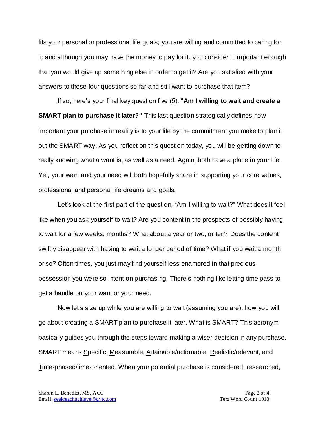fits your personal or professional life goals; you are willing and committed to caring for it; and although you may have the money to pay for it, you consider it important enough that you would give up something else in order to get it? Are you satisfied with your answers to these four questions so far and still want to purchase that item?

If so, here's your final key question five (5), "**Am I willing to wait and create a SMART plan to purchase it later?"** This last question strategically defines how important your purchase in reality is to your life by the commitment you make to plan it out the SMART way. As you reflect on this question today, you will be getting down to really knowing what a want is, as well as a need. Again, both have a place in your life. Yet, your want and your need will both hopefully share in supporting your core values, professional and personal life dreams and goals.

Let's look at the first part of the question, "Am I willing to wait?" What does it feel like when you ask yourself to wait? Are you content in the prospects of possibly having to wait for a few weeks, months? What about a year or two, or ten? Does the content swiftly disappear with having to wait a longer period of time? What if you wait a month or so? Often times, you just may find yourself less enamored in that precious possession you were so intent on purchasing. There's nothing like letting time pass to get a handle on your want or your need.

Now let's size up while you are willing to wait (assuming you are), how you will go about creating a SMART plan to purchase it later. What is SMART? This acronym basically guides you through the steps toward making a wiser decision in any purchase. SMART means Specific, Measurable, Attainable/actionable, Realistic/relevant, and Time-phased/time-oriented. When your potential purchase is considered, researched,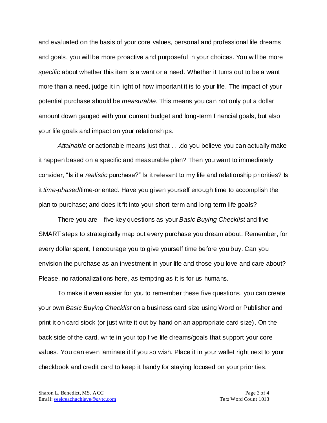and evaluated on the basis of your core values, personal and professional life dreams and goals, you will be more proactive and purposeful in your choices. You will be more *specific* about whether this item is a want or a need. Whether it turns out to be a want more than a need, judge it in light of how important it is to your life. The impact of your potential purchase should be *measurable*. This means you can not only put a dollar amount down gauged with your current budget and long-term financial goals, but also your life goals and impact on your relationships.

*Attainable* or actionable means just that . . .do you believe you can actually make it happen based on a specific and measurable plan? Then you want to immediately consider, "Is it a *realistic* purchase?" Is it relevant to my life and relationship priorities? Is it *time-phased*/time-oriented. Have you given yourself enough time to accomplish the plan to purchase; and does it fit into your short-term and long-term life goals?

There you are—five key questions as your *Basic Buying Checklist* and five SMART steps to strategically map out every purchase you dream about. Remember, for every dollar spent, I encourage you to give yourself time before you buy. Can you envision the purchase as an investment in your life and those you love and care about? Please, no rationalizations here, as tempting as it is for us humans.

To make it even easier for you to remember these five questions, you can create your own *Basic Buying Checklist* on a business card size using Word or Publisher and print it on card stock (or just write it out by hand on an appropriate card size). On the back side of the card, write in your top five life dreams/goals that support your core values. You can even laminate it if you so wish. Place it in your wallet right next to your checkbook and credit card to keep it handy for staying focused on your priorities.